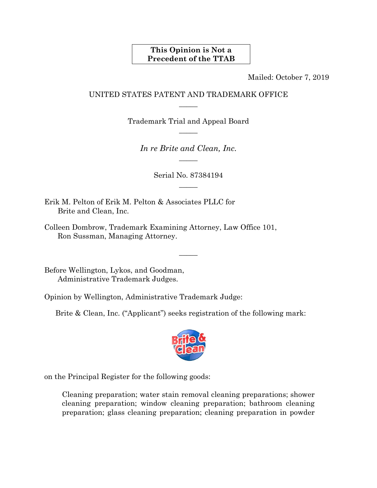## **This Opinion is Not a Precedent of the TTAB**

Mailed: October 7, 2019

## UNITED STATES PATENT AND TRADEMARK OFFICE  $\overline{\phantom{a}}$

Trademark Trial and Appeal Board  $\overline{\phantom{a}}$ 

*In re Brite and Clean, Inc.*   $\overline{\phantom{a}}$ 

> Serial No. 87384194  $\overline{\phantom{a}}$

> > $\overline{\phantom{a}}$

Erik M. Pelton of Erik M. Pelton & Associates PLLC for Brite and Clean, Inc.

Colleen Dombrow, Trademark Examining Attorney, Law Office 101, Ron Sussman, Managing Attorney.

Before Wellington, Lykos, and Goodman, Administrative Trademark Judges.

Opinion by Wellington, Administrative Trademark Judge:

Brite & Clean, Inc. ("Applicant") seeks registration of the following mark:



on the Principal Register for the following goods:

Cleaning preparation; water stain removal cleaning preparations; shower cleaning preparation; window cleaning preparation; bathroom cleaning preparation; glass cleaning preparation; cleaning preparation in powder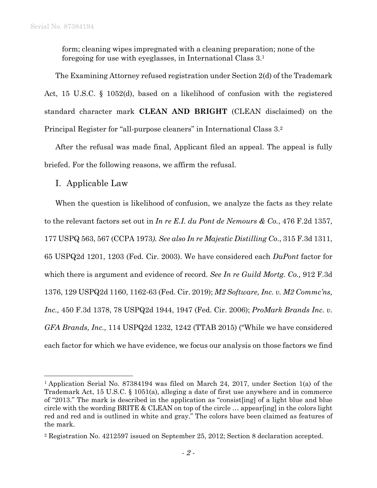form; cleaning wipes impregnated with a cleaning preparation; none of the foregoing for use with eyeglasses, in International Class 3.1

The Examining Attorney refused registration under Section 2(d) of the Trademark Act, 15 U.S.C. § 1052(d), based on a likelihood of confusion with the registered standard character mark **CLEAN AND BRIGHT** (CLEAN disclaimed) on the Principal Register for "all-purpose cleaners" in International Class 3.2

After the refusal was made final, Applicant filed an appeal. The appeal is fully briefed. For the following reasons, we affirm the refusal.

## I. Applicable Law

 $\overline{a}$ 

When the question is likelihood of confusion, we analyze the facts as they relate to the relevant factors set out in *In re E.I. du Pont de Nemours & Co.*, 476 F.2d 1357, 177 USPQ 563, 567 (CCPA 1973*). See also In re Majestic Distilling Co*., 315 F.3d 1311, 65 USPQ2d 1201, 1203 (Fed. Cir. 2003). We have considered each *DuPont* factor for which there is argument and evidence of record. *See In re Guild Mortg. Co.,* 912 F.3d 1376, 129 USPQ2d 1160, 1162-63 (Fed. Cir. 2019); *M2 Software, Inc. v. M2 Commc'ns, Inc.,* 450 F.3d 1378, 78 USPQ2d 1944, 1947 (Fed. Cir. 2006); *ProMark Brands Inc. v. GFA Brands, Inc.,* 114 USPQ2d 1232, 1242 (TTAB 2015) ("While we have considered each factor for which we have evidence, we focus our analysis on those factors we find

<sup>1</sup> Application Serial No. 87384194 was filed on March 24, 2017, under Section 1(a) of the Trademark Act, 15 U.S.C. § 1051(a), alleging a date of first use anywhere and in commerce of "2013." The mark is described in the application as "consist[ing] of a light blue and blue circle with the wording BRITE & CLEAN on top of the circle … appear[ing] in the colors light red and red and is outlined in white and gray." The colors have been claimed as features of the mark.

<sup>2</sup> Registration No. 4212597 issued on September 25, 2012; Section 8 declaration accepted.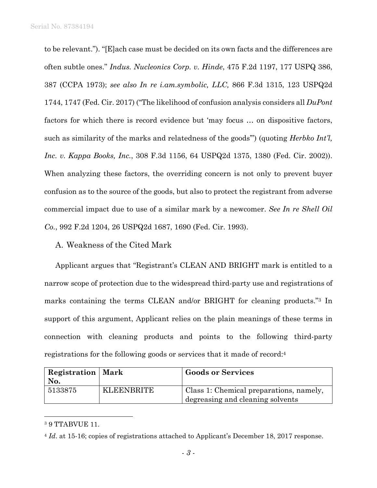to be relevant."). "[E]ach case must be decided on its own facts and the differences are often subtle ones." *Indus. Nucleonics Corp. v. Hinde*, 475 F.2d 1197, 177 USPQ 386, 387 (CCPA 1973); *see also In re i.am.symbolic, LLC,* 866 F.3d 1315, 123 USPQ2d 1744, 1747 (Fed. Cir. 2017) ("The likelihood of confusion analysis considers all *DuPont* factors for which there is record evidence but 'may focus … on dispositive factors, such as similarity of the marks and relatedness of the goods'") (quoting *Herbko Int'l, Inc. v. Kappa Books, Inc.*, 308 F.3d 1156, 64 USPQ2d 1375, 1380 (Fed. Cir. 2002)). When analyzing these factors, the overriding concern is not only to prevent buyer confusion as to the source of the goods, but also to protect the registrant from adverse commercial impact due to use of a similar mark by a newcomer. *See In re Shell Oil Co.*, 992 F.2d 1204, 26 USPQ2d 1687, 1690 (Fed. Cir. 1993).

### A. Weakness of the Cited Mark

Applicant argues that "Registrant's CLEAN AND BRIGHT mark is entitled to a narrow scope of protection due to the widespread third-party use and registrations of marks containing the terms CLEAN and/or BRIGHT for cleaning products."3 In support of this argument, Applicant relies on the plain meanings of these terms in connection with cleaning products and points to the following third-party registrations for the following goods or services that it made of record:4

| <b>Registration</b>   Mark |                   | <b>Goods or Services</b>                |
|----------------------------|-------------------|-----------------------------------------|
| No.                        |                   |                                         |
| 5133875                    | <b>KLEENBRITE</b> | Class 1: Chemical preparations, namely, |
|                            |                   | degreasing and cleaning solvents        |

<sup>3 9</sup> TTABVUE 11.

 $\overline{a}$ 

<sup>4</sup> *Id*. at 15-16; copies of registrations attached to Applicant's December 18, 2017 response.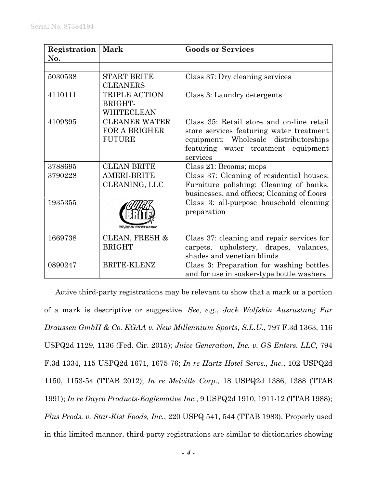| Registration<br>No. | <b>Mark</b>                                                   | <b>Goods or Services</b>                                                                                                                                                          |
|---------------------|---------------------------------------------------------------|-----------------------------------------------------------------------------------------------------------------------------------------------------------------------------------|
|                     |                                                               |                                                                                                                                                                                   |
| 5030538             | <b>START BRITE</b><br><b>CLEANERS</b>                         | Class 37: Dry cleaning services                                                                                                                                                   |
| 4110111             | <b>TRIPLE ACTION</b><br>BRIGHT-<br>WHITECLEAN                 | Class 3: Laundry detergents                                                                                                                                                       |
| 4109395             | <b>CLEANER WATER</b><br><b>FOR A BRIGHER</b><br><b>FUTURE</b> | Class 35: Retail store and on-line retail<br>store services featuring water treatment<br>equipment; Wholesale distributorships<br>featuring water treatment equipment<br>services |
| 3788695             | <b>CLEAN BRITE</b>                                            | Class 21: Brooms; mops                                                                                                                                                            |
| 3790228             | <b>AMERI-BRITE</b><br>CLEANING, LLC                           | Class 37: Cleaning of residential houses;<br>Furniture polishing; Cleaning of banks,<br>businesses, and offices; Cleaning of floors                                               |
| 1935355             | "THE TRUE ALL PURPOSE CLEANER"                                | Class 3: all-purpose household cleaning<br>preparation                                                                                                                            |
| 1669738             | <b>CLEAN, FRESH &amp;</b><br><b>BRIGHT</b>                    | Class 37: cleaning and repair services for<br>carpets, upholstery, drapes, valances,<br>shades and venetian blinds                                                                |
| 0890247             | <b>BRITE-KLENZ</b>                                            | Class 3: Preparation for washing bottles<br>and for use in soaker-type bottle washers                                                                                             |

Active third-party registrations may be relevant to show that a mark or a portion of a mark is descriptive or suggestive. *See, e.g.*, *Jack Wolfskin Ausrustung Fur Draussen GmbH & Co. KGAA v. New Millennium Sports, S.L.U*., 797 F.3d 1363, 116 USPQ2d 1129, 1136 (Fed. Cir. 2015); *Juice Generation, Inc. v. GS Enters. LLC*, 794 F.3d 1334, 115 USPQ2d 1671, 1675-76; *In re Hartz Hotel Servs., Inc.*, 102 USPQ2d 1150, 1153-54 (TTAB 2012); *In re Melville Corp.*, 18 USPQ2d 1386, 1388 (TTAB 1991); *In re Dayco Products-Eaglemotive Inc.*, 9 USPQ2d 1910, 1911-12 (TTAB 1988); *Plus Prods. v. Star-Kist Foods, Inc.*, 220 USPQ 541, 544 (TTAB 1983). Properly used in this limited manner, third-party registrations are similar to dictionaries showing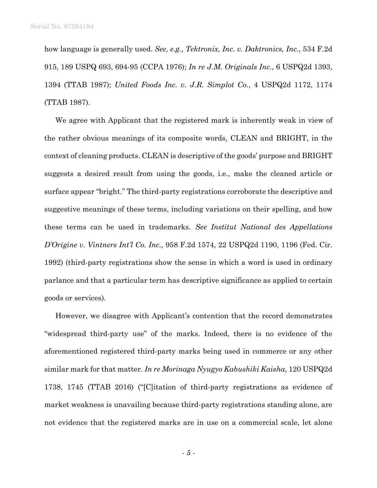how language is generally used. *See, e.g., Tektronix, Inc. v. Daktronics, Inc.*, 534 F.2d 915, 189 USPQ 693, 694-95 (CCPA 1976); *In re J.M. Originals Inc.*, 6 USPQ2d 1393, 1394 (TTAB 1987); *United Foods Inc. v. J.R. Simplot Co.*, 4 USPQ2d 1172, 1174 (TTAB 1987).

We agree with Applicant that the registered mark is inherently weak in view of the rather obvious meanings of its composite words, CLEAN and BRIGHT, in the context of cleaning products. CLEAN is descriptive of the goods' purpose and BRIGHT suggests a desired result from using the goods, i.e., make the cleaned article or surface appear "bright." The third-party registrations corroborate the descriptive and suggestive meanings of these terms, including variations on their spelling, and how these terms can be used in trademarks. *See Institut National des Appellations D'Origine v. Vintners Int'l Co. Inc.,* 958 F.2d 1574, 22 USPQ2d 1190, 1196 (Fed. Cir. 1992) (third-party registrations show the sense in which a word is used in ordinary parlance and that a particular term has descriptive significance as applied to certain goods or services).

However, we disagree with Applicant's contention that the record demonstrates "widespread third-party use" of the marks. Indeed, there is no evidence of the aforementioned registered third-party marks being used in commerce or any other similar mark for that matter. *In re Morinaga Nyugyo Kabushiki Kaisha*, 120 USPQ2d 1738, 1745 (TTAB 2016) ("[C]itation of third-party registrations as evidence of market weakness is unavailing because third-party registrations standing alone, are not evidence that the registered marks are in use on a commercial scale, let alone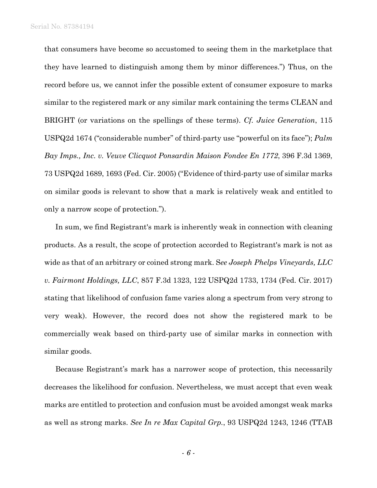that consumers have become so accustomed to seeing them in the marketplace that they have learned to distinguish among them by minor differences.") Thus, on the record before us, we cannot infer the possible extent of consumer exposure to marks similar to the registered mark or any similar mark containing the terms CLEAN and BRIGHT (or variations on the spellings of these terms). *Cf. Juice Generation*, 115 USPQ2d 1674 ("considerable number" of third-party use "powerful on its face"); *Palm Bay Imps., Inc. v. Veuve Clicquot Ponsardin Maison Fondee En 1772*, 396 F.3d 1369, 73 USPQ2d 1689, 1693 (Fed. Cir. 2005) ("Evidence of third-party use of similar marks on similar goods is relevant to show that a mark is relatively weak and entitled to only a narrow scope of protection.").

In sum, we find Registrant's mark is inherently weak in connection with cleaning products. As a result, the scope of protection accorded to Registrant's mark is not as wide as that of an arbitrary or coined strong mark. S*ee Joseph Phelps Vineyards, LLC v. Fairmont Holdings, LLC*, 857 F.3d 1323, 122 USPQ2d 1733, 1734 (Fed. Cir. 2017) stating that likelihood of confusion fame varies along a spectrum from very strong to very weak). However, the record does not show the registered mark to be commercially weak based on third-party use of similar marks in connection with similar goods.

Because Registrant's mark has a narrower scope of protection, this necessarily decreases the likelihood for confusion. Nevertheless, we must accept that even weak marks are entitled to protection and confusion must be avoided amongst weak marks as well as strong marks. *See In re Max Capital Grp.*, 93 USPQ2d 1243, 1246 (TTAB

- *6* -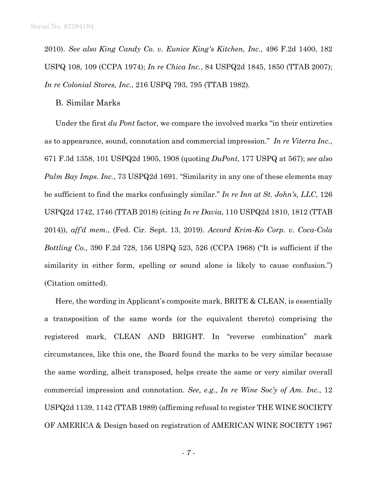2010). *See also King Candy Co. v. Eunice King's Kitchen, Inc.*, 496 F.2d 1400, 182 USPQ 108, 109 (CCPA 1974); *In re Chica Inc.*, 84 USPQ2d 1845, 1850 (TTAB 2007); *In re Colonial Stores, Inc.*, 216 USPQ 793, 795 (TTAB 1982).

#### B. Similar Marks

Under the first *du Pont* factor, we compare the involved marks "in their entireties as to appearance, sound, connotation and commercial impression." *In re Viterra Inc.*, 671 F.3d 1358, 101 USPQ2d 1905, 1908 (quoting *DuPont*, 177 USPQ at 567); *see also Palm Bay Imps. Inc.*, 73 USPQ2d 1691. "Similarity in any one of these elements may be sufficient to find the marks confusingly similar." *In re Inn at St. John's, LLC*, 126 USPQ2d 1742, 1746 (TTAB 2018) (citing *In re Davia*, 110 USPQ2d 1810, 1812 (TTAB 2014)), *aff'd mem.*, (Fed. Cir. Sept. 13, 2019). *Accord Krim-Ko Corp. v. Coca-Cola Bottling Co*., 390 F.2d 728, 156 USPQ 523, 526 (CCPA 1968) ("It is sufficient if the similarity in either form, spelling or sound alone is likely to cause confusion.") (Citation omitted).

Here, the wording in Applicant's composite mark, BRITE & CLEAN, is essentially a transposition of the same words (or the equivalent thereto) comprising the registered mark, CLEAN AND BRIGHT. In "reverse combination" mark circumstances, like this one, the Board found the marks to be very similar because the same wording, albeit transposed, helps create the same or very similar overall commercial impression and connotation. *See, e.g., In re Wine Soc'y of Am. Inc.*, 12 USPQ2d 1139, 1142 (TTAB 1989) (affirming refusal to register THE WINE SOCIETY OF AMERICA & Design based on registration of AMERICAN WINE SOCIETY 1967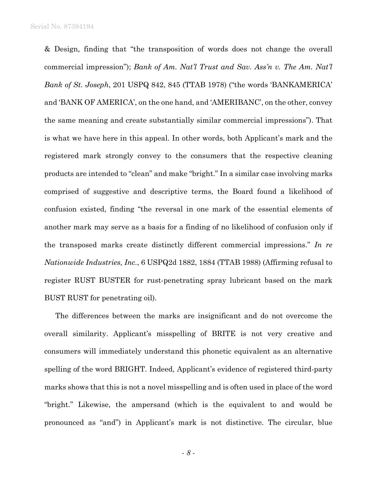Serial No. 87384194

& Design, finding that "the transposition of words does not change the overall commercial impression"); *Bank of Am. Nat'l Trust and Sav. Ass'n v. The Am. Nat'l Bank of St. Joseph*, 201 USPQ 842, 845 (TTAB 1978) ("the words 'BANKAMERICA' and 'BANK OF AMERICA', on the one hand, and 'AMERIBANC', on the other, convey the same meaning and create substantially similar commercial impressions"). That is what we have here in this appeal. In other words, both Applicant's mark and the registered mark strongly convey to the consumers that the respective cleaning products are intended to "clean" and make "bright." In a similar case involving marks comprised of suggestive and descriptive terms, the Board found a likelihood of confusion existed, finding "the reversal in one mark of the essential elements of another mark may serve as a basis for a finding of no likelihood of confusion only if the transposed marks create distinctly different commercial impressions." *In re Nationwide Industries, Inc.*, 6 USPQ2d 1882, 1884 (TTAB 1988) (Affirming refusal to register RUST BUSTER for rust-penetrating spray lubricant based on the mark BUST RUST for penetrating oil).

The differences between the marks are insignificant and do not overcome the overall similarity. Applicant's misspelling of BRITE is not very creative and consumers will immediately understand this phonetic equivalent as an alternative spelling of the word BRIGHT. Indeed, Applicant's evidence of registered third-party marks shows that this is not a novel misspelling and is often used in place of the word "bright." Likewise, the ampersand (which is the equivalent to and would be pronounced as "and") in Applicant's mark is not distinctive. The circular, blue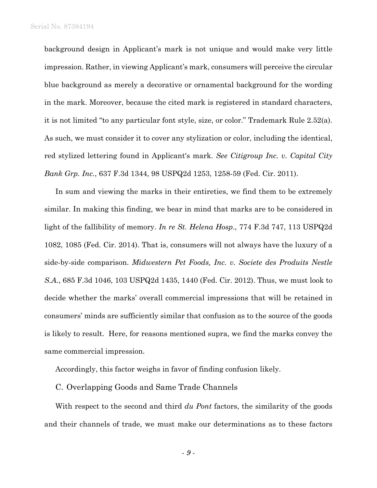background design in Applicant's mark is not unique and would make very little impression. Rather, in viewing Applicant's mark, consumers will perceive the circular blue background as merely a decorative or ornamental background for the wording in the mark. Moreover, because the cited mark is registered in standard characters, it is not limited "to any particular font style, size, or color." Trademark Rule 2.52(a). As such, we must consider it to cover any stylization or color, including the identical, red stylized lettering found in Applicant's mark. *See Citigroup Inc. v. Capital City Bank Grp. Inc.*, 637 F.3d 1344, 98 USPQ2d 1253, 1258-59 (Fed. Cir. 2011).

In sum and viewing the marks in their entireties, we find them to be extremely similar. In making this finding, we bear in mind that marks are to be considered in light of the fallibility of memory. *In re St. Helena Hosp*., 774 F.3d 747, 113 USPQ2d 1082, 1085 (Fed. Cir. 2014). That is, consumers will not always have the luxury of a side-by-side comparison. *Midwestern Pet Foods, Inc. v. Societe des Produits Nestle S.A.*, 685 F.3d 1046, 103 USPQ2d 1435, 1440 (Fed. Cir. 2012). Thus, we must look to decide whether the marks' overall commercial impressions that will be retained in consumers' minds are sufficiently similar that confusion as to the source of the goods is likely to result. Here, for reasons mentioned supra, we find the marks convey the same commercial impression.

Accordingly, this factor weighs in favor of finding confusion likely.

C. Overlapping Goods and Same Trade Channels

With respect to the second and third *du Pont* factors, the similarity of the goods and their channels of trade, we must make our determinations as to these factors

- *9* -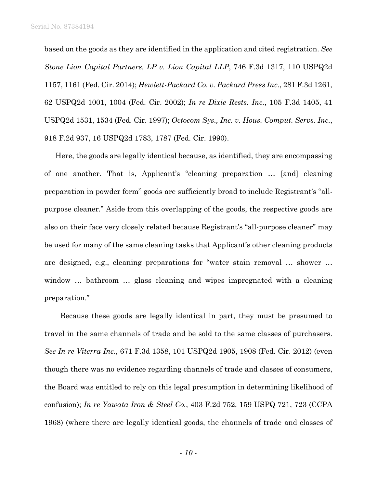based on the goods as they are identified in the application and cited registration. *See Stone Lion Capital Partners, LP v. Lion Capital LLP*, 746 F.3d 1317, 110 USPQ2d 1157, 1161 (Fed. Cir. 2014); *Hewlett-Packard Co. v. Packard Press Inc.*, 281 F.3d 1261, 62 USPQ2d 1001, 1004 (Fed. Cir. 2002); *In re Dixie Rests. Inc.*, 105 F.3d 1405, 41 USPQ2d 1531, 1534 (Fed. Cir. 1997); *Octocom Sys., Inc. v. Hous. Comput. Servs. Inc.*, 918 F.2d 937, 16 USPQ2d 1783, 1787 (Fed. Cir. 1990).

Here, the goods are legally identical because, as identified, they are encompassing of one another. That is, Applicant's "cleaning preparation … [and] cleaning preparation in powder form" goods are sufficiently broad to include Registrant's "allpurpose cleaner." Aside from this overlapping of the goods, the respective goods are also on their face very closely related because Registrant's "all-purpose cleaner" may be used for many of the same cleaning tasks that Applicant's other cleaning products are designed, e.g., cleaning preparations for "water stain removal … shower … window ... bathroom ... glass cleaning and wipes impregnated with a cleaning preparation."

 Because these goods are legally identical in part, they must be presumed to travel in the same channels of trade and be sold to the same classes of purchasers. *See In re Viterra Inc.,* 671 F.3d 1358, 101 USPQ2d 1905, 1908 (Fed. Cir. 2012) (even though there was no evidence regarding channels of trade and classes of consumers, the Board was entitled to rely on this legal presumption in determining likelihood of confusion); *In re Yawata Iron & Steel Co.*, 403 F.2d 752, 159 USPQ 721, 723 (CCPA 1968) (where there are legally identical goods, the channels of trade and classes of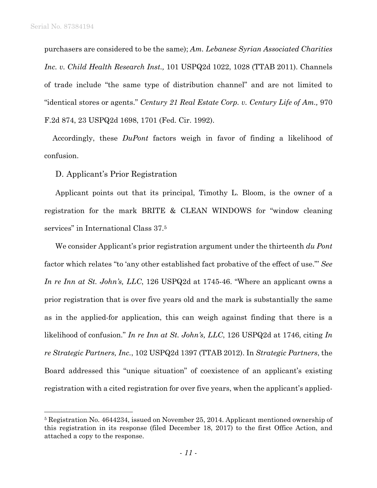$\overline{a}$ 

purchasers are considered to be the same); *Am. Lebanese Syrian Associated Charities Inc. v. Child Health Research Inst.,* 101 USPQ2d 1022, 1028 (TTAB 2011). Channels of trade include "the same type of distribution channel" and are not limited to "identical stores or agents." *Century 21 Real Estate Corp. v. Century Life of Am.,* 970 F.2d 874, 23 USPQ2d 1698, 1701 (Fed. Cir. 1992).

 Accordingly, these *DuPont* factors weigh in favor of finding a likelihood of confusion.

D. Applicant's Prior Registration

Applicant points out that its principal, Timothy L. Bloom, is the owner of a registration for the mark BRITE & CLEAN WINDOWS for "window cleaning services" in International Class 37.5

We consider Applicant's prior registration argument under the thirteenth *du Pont* factor which relates "to 'any other established fact probative of the effect of use."' *See In re Inn at St. John's, LLC*, 126 USPQ2d at 1745-46. "Where an applicant owns a prior registration that is over five years old and the mark is substantially the same as in the applied-for application, this can weigh against finding that there is a likelihood of confusion." *In re Inn at St. John's, LLC*, 126 USPQ2d at 1746, citing *In re Strategic Partners, Inc.*, 102 USPQ2d 1397 (TTAB 2012). In *Strategic Partners*, the Board addressed this "unique situation" of coexistence of an applicant's existing registration with a cited registration for over five years, when the applicant's applied-

<sup>5</sup> Registration No. 4644234, issued on November 25, 2014. Applicant mentioned ownership of this registration in its response (filed December 18, 2017) to the first Office Action, and attached a copy to the response.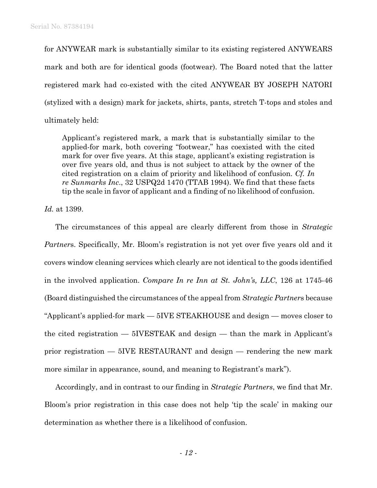for ANYWEAR mark is substantially similar to its existing registered ANYWEARS mark and both are for identical goods (footwear). The Board noted that the latter registered mark had co-existed with the cited ANYWEAR BY JOSEPH NATORI (stylized with a design) mark for jackets, shirts, pants, stretch T-tops and stoles and ultimately held:

Applicant's registered mark, a mark that is substantially similar to the applied-for mark, both covering "footwear," has coexisted with the cited mark for over five years. At this stage, applicant's existing registration is over five years old, and thus is not subject to attack by the owner of the cited registration on a claim of priority and likelihood of confusion. *Cf. In re Sunmarks Inc*., 32 USPQ2d 1470 (TTAB 1994). We find that these facts tip the scale in favor of applicant and a finding of no likelihood of confusion.

*Id.* at 1399.

The circumstances of this appeal are clearly different from those in *Strategic Partner*s. Specifically, Mr. Bloom's registration is not yet over five years old and it covers window cleaning services which clearly are not identical to the goods identified in the involved application. *Compare In re Inn at St. John's, LLC*, 126 at 1745-46 (Board distinguished the circumstances of the appeal from *Strategic Partner*s because "Applicant's applied-for mark — 5IVE STEAKHOUSE and design — moves closer to the cited registration — 5IVESTEAK and design — than the mark in Applicant's prior registration — 5IVE RESTAURANT and design — rendering the new mark more similar in appearance, sound, and meaning to Registrant's mark").

Accordingly, and in contrast to our finding in *Strategic Partners*, we find that Mr. Bloom's prior registration in this case does not help 'tip the scale' in making our determination as whether there is a likelihood of confusion.